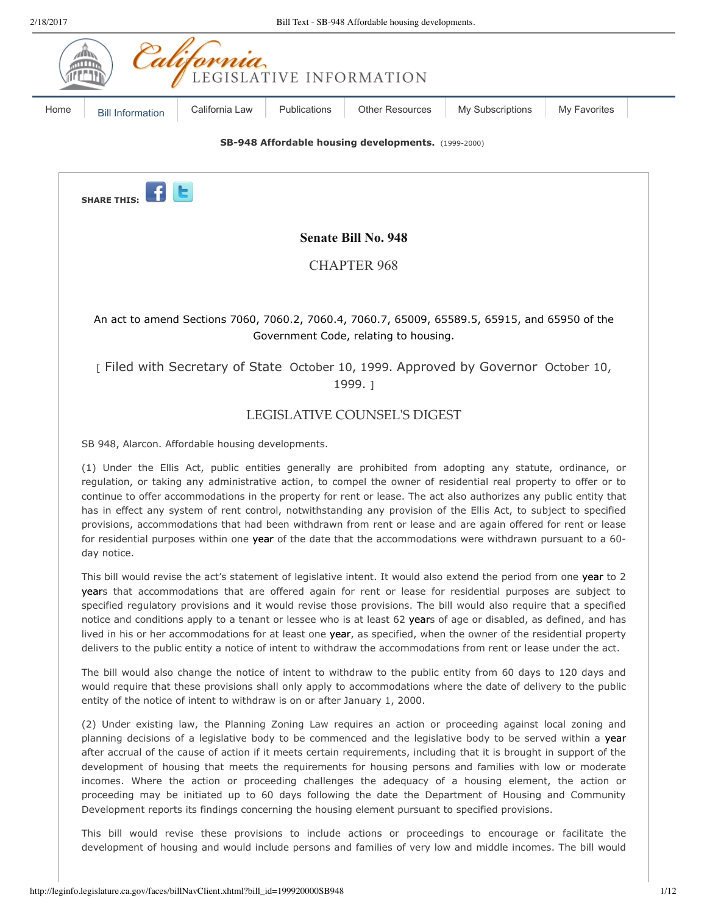

(2) Under existing law, the Planning Zoning Law requires an action or proceeding against local zoning and planning decisions of a legislative body to be commenced and the legislative body to be served within a year after accrual of the cause of action if it meets certain requirements, including that it is brought in support of the development of housing that meets the requirements for housing persons and families with low or moderate incomes. Where the action or proceeding challenges the adequacy of a housing element, the action or proceeding may be initiated up to 60 days following the date the Department of Housing and Community Development reports its findings concerning the housing element pursuant to specified provisions.

This bill would revise these provisions to include actions or proceedings to encourage or facilitate the development of housing and would include persons and families of very low and middle incomes. The bill would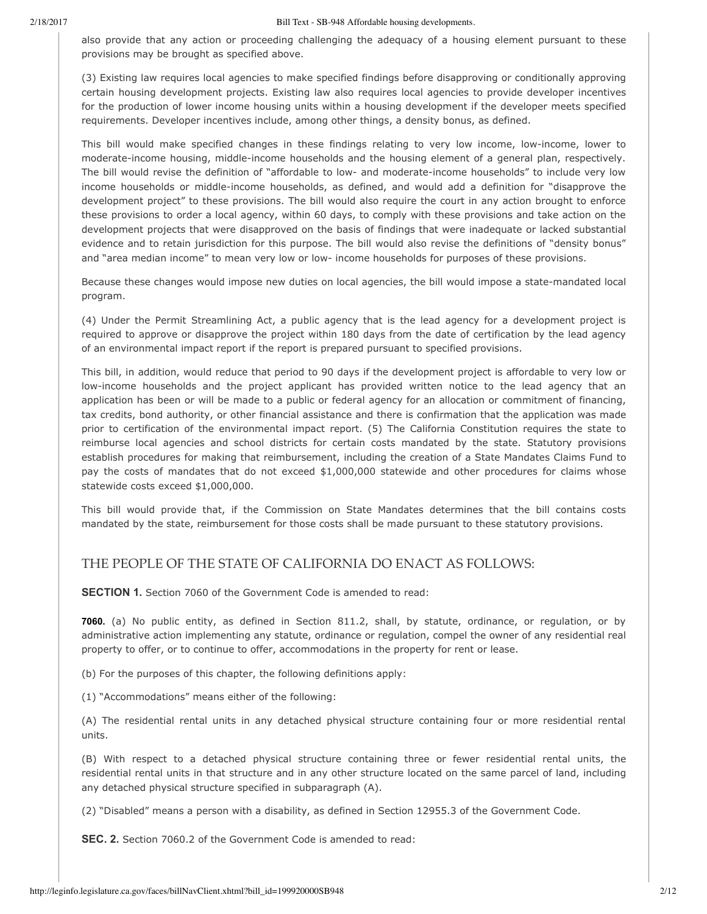also provide that any action or proceeding challenging the adequacy of a housing element pursuant to these provisions may be brought as specified above.

(3) Existing law requires local agencies to make specified findings before disapproving or conditionally approving certain housing development projects. Existing law also requires local agencies to provide developer incentives for the production of lower income housing units within a housing development if the developer meets specified requirements. Developer incentives include, among other things, a density bonus, as defined.

This bill would make specified changes in these findings relating to very low income, low-income, lower to moderate-income housing, middle-income households and the housing element of a general plan, respectively. The bill would revise the definition of "affordable to low- and moderate-income households" to include very low income households or middle-income households, as defined, and would add a definition for "disapprove the development project" to these provisions. The bill would also require the court in any action brought to enforce these provisions to order a local agency, within 60 days, to comply with these provisions and take action on the development projects that were disapproved on the basis of findings that were inadequate or lacked substantial evidence and to retain jurisdiction for this purpose. The bill would also revise the definitions of "density bonus" and "area median income" to mean very low or low- income households for purposes of these provisions.

Because these changes would impose new duties on local agencies, the bill would impose a state-mandated local program.

(4) Under the Permit Streamlining Act, a public agency that is the lead agency for a development project is required to approve or disapprove the project within 180 days from the date of certification by the lead agency of an environmental impact report if the report is prepared pursuant to specified provisions.

This bill, in addition, would reduce that period to 90 days if the development project is affordable to very low or low-income households and the project applicant has provided written notice to the lead agency that an application has been or will be made to a public or federal agency for an allocation or commitment of financing, tax credits, bond authority, or other financial assistance and there is confirmation that the application was made prior to certification of the environmental impact report. (5) The California Constitution requires the state to reimburse local agencies and school districts for certain costs mandated by the state. Statutory provisions establish procedures for making that reimbursement, including the creation of a State Mandates Claims Fund to pay the costs of mandates that do not exceed \$1,000,000 statewide and other procedures for claims whose statewide costs exceed \$1,000,000.

This bill would provide that, if the Commission on State Mandates determines that the bill contains costs mandated by the state, reimbursement for those costs shall be made pursuant to these statutory provisions.

# THE PEOPLE OF THE STATE OF CALIFORNIA DO ENACT AS FOLLOWS:

**SECTION 1.** Section 7060 of the Government Code is amended to read:

**7060.** (a) No public entity, as defined in Section 811.2, shall, by statute, ordinance, or regulation, or by administrative action implementing any statute, ordinance or regulation, compel the owner of any residential real property to offer, or to continue to offer, accommodations in the property for rent or lease.

(b) For the purposes of this chapter, the following definitions apply:

(1) "Accommodations" means either of the following:

(A) The residential rental units in any detached physical structure containing four or more residential rental units.

(B) With respect to a detached physical structure containing three or fewer residential rental units, the residential rental units in that structure and in any other structure located on the same parcel of land, including any detached physical structure specified in subparagraph (A).

(2) "Disabled" means a person with a disability, as defined in Section 12955.3 of the Government Code.

**SEC. 2.** Section 7060.2 of the Government Code is amended to read: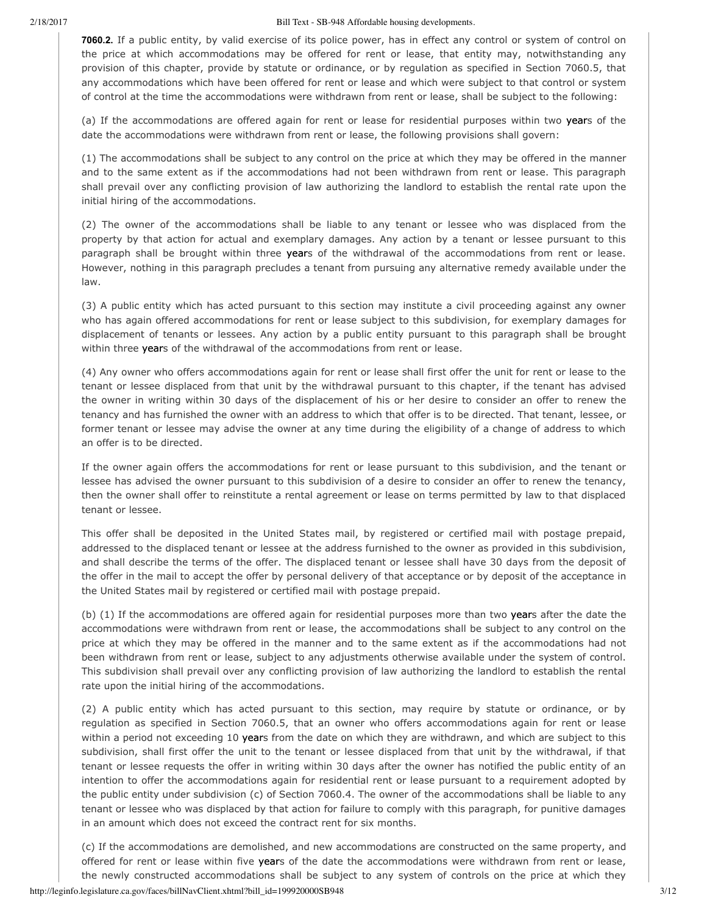**7060.2.** If a public entity, by valid exercise of its police power, has in effect any control or system of control on the price at which accommodations may be offered for rent or lease, that entity may, notwithstanding any provision of this chapter, provide by statute or ordinance, or by regulation as specified in Section 7060.5, that any accommodations which have been offered for rent or lease and which were subject to that control or system of control at the time the accommodations were withdrawn from rent or lease, shall be subject to the following:

(a) If the accommodations are offered again for rent or lease for residential purposes within two years of the date the accommodations were withdrawn from rent or lease, the following provisions shall govern:

(1) The accommodations shall be subject to any control on the price at which they may be offered in the manner and to the same extent as if the accommodations had not been withdrawn from rent or lease. This paragraph shall prevail over any conflicting provision of law authorizing the landlord to establish the rental rate upon the initial hiring of the accommodations.

(2) The owner of the accommodations shall be liable to any tenant or lessee who was displaced from the property by that action for actual and exemplary damages. Any action by a tenant or lessee pursuant to this paragraph shall be brought within three years of the withdrawal of the accommodations from rent or lease. However, nothing in this paragraph precludes a tenant from pursuing any alternative remedy available under the law.

(3) A public entity which has acted pursuant to this section may institute a civil proceeding against any owner who has again offered accommodations for rent or lease subject to this subdivision, for exemplary damages for displacement of tenants or lessees. Any action by a public entity pursuant to this paragraph shall be brought within three years of the withdrawal of the accommodations from rent or lease.

(4) Any owner who offers accommodations again for rent or lease shall first offer the unit for rent or lease to the tenant or lessee displaced from that unit by the withdrawal pursuant to this chapter, if the tenant has advised the owner in writing within 30 days of the displacement of his or her desire to consider an offer to renew the tenancy and has furnished the owner with an address to which that offer is to be directed. That tenant, lessee, or former tenant or lessee may advise the owner at any time during the eligibility of a change of address to which an offer is to be directed.

If the owner again offers the accommodations for rent or lease pursuant to this subdivision, and the tenant or lessee has advised the owner pursuant to this subdivision of a desire to consider an offer to renew the tenancy, then the owner shall offer to reinstitute a rental agreement or lease on terms permitted by law to that displaced tenant or lessee.

This offer shall be deposited in the United States mail, by registered or certified mail with postage prepaid, addressed to the displaced tenant or lessee at the address furnished to the owner as provided in this subdivision, and shall describe the terms of the offer. The displaced tenant or lessee shall have 30 days from the deposit of the offer in the mail to accept the offer by personal delivery of that acceptance or by deposit of the acceptance in the United States mail by registered or certified mail with postage prepaid.

(b) (1) If the accommodations are offered again for residential purposes more than two years after the date the accommodations were withdrawn from rent or lease, the accommodations shall be subject to any control on the price at which they may be offered in the manner and to the same extent as if the accommodations had not been withdrawn from rent or lease, subject to any adjustments otherwise available under the system of control. This subdivision shall prevail over any conflicting provision of law authorizing the landlord to establish the rental rate upon the initial hiring of the accommodations.

(2) A public entity which has acted pursuant to this section, may require by statute or ordinance, or by regulation as specified in Section 7060.5, that an owner who offers accommodations again for rent or lease within a period not exceeding 10 years from the date on which they are withdrawn, and which are subject to this subdivision, shall first offer the unit to the tenant or lessee displaced from that unit by the withdrawal, if that tenant or lessee requests the offer in writing within 30 days after the owner has notified the public entity of an intention to offer the accommodations again for residential rent or lease pursuant to a requirement adopted by the public entity under subdivision (c) of Section 7060.4. The owner of the accommodations shall be liable to any tenant or lessee who was displaced by that action for failure to comply with this paragraph, for punitive damages in an amount which does not exceed the contract rent for six months.

(c) If the accommodations are demolished, and new accommodations are constructed on the same property, and offered for rent or lease within five years of the date the accommodations were withdrawn from rent or lease, the newly constructed accommodations shall be subject to any system of controls on the price at which they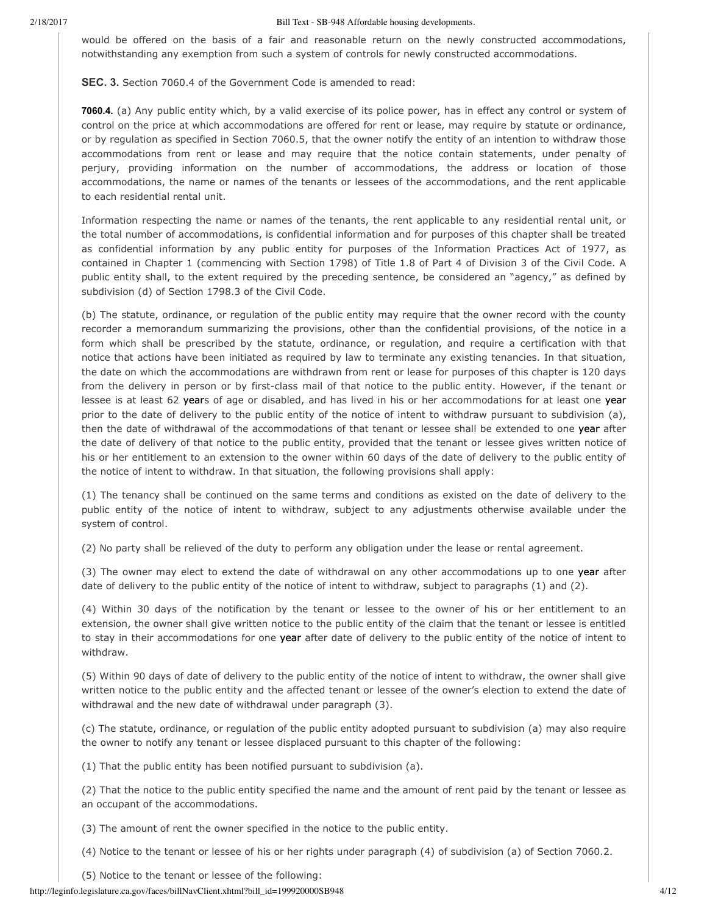would be offered on the basis of a fair and reasonable return on the newly constructed accommodations, notwithstanding any exemption from such a system of controls for newly constructed accommodations.

**SEC. 3.** Section 7060.4 of the Government Code is amended to read:

**7060.4.** (a) Any public entity which, by a valid exercise of its police power, has in effect any control or system of control on the price at which accommodations are offered for rent or lease, may require by statute or ordinance, or by regulation as specified in Section 7060.5, that the owner notify the entity of an intention to withdraw those accommodations from rent or lease and may require that the notice contain statements, under penalty of perjury, providing information on the number of accommodations, the address or location of those accommodations, the name or names of the tenants or lessees of the accommodations, and the rent applicable to each residential rental unit.

Information respecting the name or names of the tenants, the rent applicable to any residential rental unit, or the total number of accommodations, is confidential information and for purposes of this chapter shall be treated as confidential information by any public entity for purposes of the Information Practices Act of 1977, as contained in Chapter 1 (commencing with Section 1798) of Title 1.8 of Part 4 of Division 3 of the Civil Code. A public entity shall, to the extent required by the preceding sentence, be considered an "agency," as defined by subdivision (d) of Section 1798.3 of the Civil Code.

(b) The statute, ordinance, or regulation of the public entity may require that the owner record with the county recorder a memorandum summarizing the provisions, other than the confidential provisions, of the notice in a form which shall be prescribed by the statute, ordinance, or regulation, and require a certification with that notice that actions have been initiated as required by law to terminate any existing tenancies. In that situation, the date on which the accommodations are withdrawn from rent or lease for purposes of this chapter is 120 days from the delivery in person or by first-class mail of that notice to the public entity. However, if the tenant or lessee is at least 62 years of age or disabled, and has lived in his or her accommodations for at least one year prior to the date of delivery to the public entity of the notice of intent to withdraw pursuant to subdivision (a), then the date of withdrawal of the accommodations of that tenant or lessee shall be extended to one year after the date of delivery of that notice to the public entity, provided that the tenant or lessee gives written notice of his or her entitlement to an extension to the owner within 60 days of the date of delivery to the public entity of the notice of intent to withdraw. In that situation, the following provisions shall apply:

(1) The tenancy shall be continued on the same terms and conditions as existed on the date of delivery to the public entity of the notice of intent to withdraw, subject to any adjustments otherwise available under the system of control.

(2) No party shall be relieved of the duty to perform any obligation under the lease or rental agreement.

(3) The owner may elect to extend the date of withdrawal on any other accommodations up to one year after date of delivery to the public entity of the notice of intent to withdraw, subject to paragraphs (1) and (2).

(4) Within 30 days of the notification by the tenant or lessee to the owner of his or her entitlement to an extension, the owner shall give written notice to the public entity of the claim that the tenant or lessee is entitled to stay in their accommodations for one year after date of delivery to the public entity of the notice of intent to withdraw.

(5) Within 90 days of date of delivery to the public entity of the notice of intent to withdraw, the owner shall give written notice to the public entity and the affected tenant or lessee of the owner's election to extend the date of withdrawal and the new date of withdrawal under paragraph (3).

(c) The statute, ordinance, or regulation of the public entity adopted pursuant to subdivision (a) may also require the owner to notify any tenant or lessee displaced pursuant to this chapter of the following:

(1) That the public entity has been notified pursuant to subdivision (a).

(2) That the notice to the public entity specified the name and the amount of rent paid by the tenant or lessee as an occupant of the accommodations.

(3) The amount of rent the owner specified in the notice to the public entity.

(4) Notice to the tenant or lessee of his or her rights under paragraph (4) of subdivision (a) of Section 7060.2.

(5) Notice to the tenant or lessee of the following: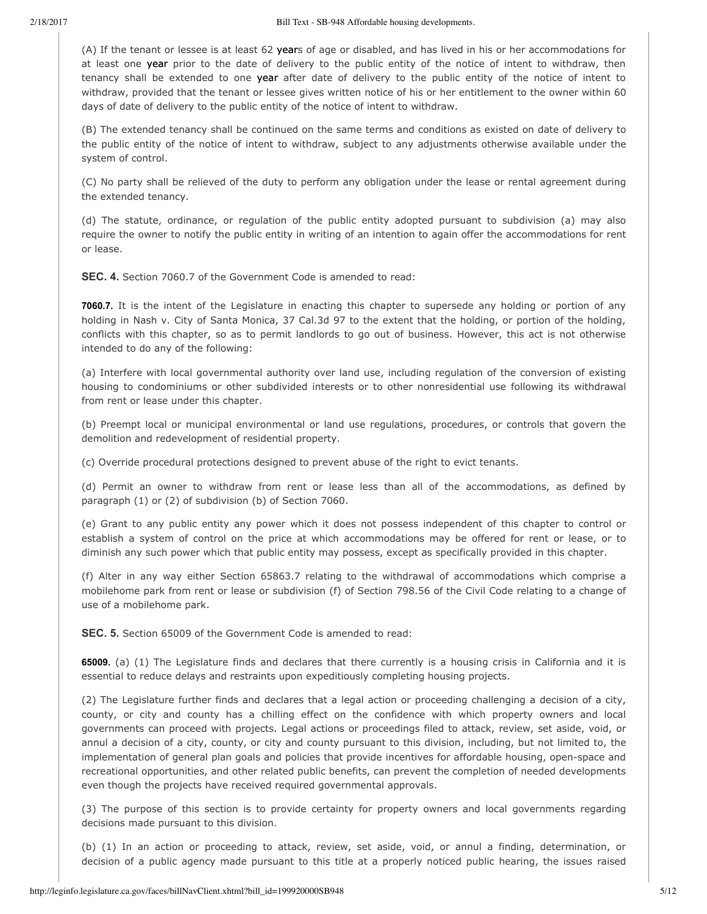(A) If the tenant or lessee is at least 62 years of age or disabled, and has lived in his or her accommodations for at least one year prior to the date of delivery to the public entity of the notice of intent to withdraw, then tenancy shall be extended to one year after date of delivery to the public entity of the notice of intent to withdraw, provided that the tenant or lessee gives written notice of his or her entitlement to the owner within 60 days of date of delivery to the public entity of the notice of intent to withdraw.

(B) The extended tenancy shall be continued on the same terms and conditions as existed on date of delivery to the public entity of the notice of intent to withdraw, subject to any adjustments otherwise available under the system of control.

(C) No party shall be relieved of the duty to perform any obligation under the lease or rental agreement during the extended tenancy.

(d) The statute, ordinance, or regulation of the public entity adopted pursuant to subdivision (a) may also require the owner to notify the public entity in writing of an intention to again offer the accommodations for rent or lease.

**SEC. 4.** Section 7060.7 of the Government Code is amended to read:

**7060.7.** It is the intent of the Legislature in enacting this chapter to supersede any holding or portion of any holding in Nash v. City of Santa Monica, 37 Cal.3d 97 to the extent that the holding, or portion of the holding, conflicts with this chapter, so as to permit landlords to go out of business. However, this act is not otherwise intended to do any of the following:

(a) Interfere with local governmental authority over land use, including regulation of the conversion of existing housing to condominiums or other subdivided interests or to other nonresidential use following its withdrawal from rent or lease under this chapter.

(b) Preempt local or municipal environmental or land use regulations, procedures, or controls that govern the demolition and redevelopment of residential property.

(c) Override procedural protections designed to prevent abuse of the right to evict tenants.

(d) Permit an owner to withdraw from rent or lease less than all of the accommodations, as defined by paragraph (1) or (2) of subdivision (b) of Section 7060.

(e) Grant to any public entity any power which it does not possess independent of this chapter to control or establish a system of control on the price at which accommodations may be offered for rent or lease, or to diminish any such power which that public entity may possess, except as specifically provided in this chapter.

(f) Alter in any way either Section 65863.7 relating to the withdrawal of accommodations which comprise a mobilehome park from rent or lease or subdivision (f) of Section 798.56 of the Civil Code relating to a change of use of a mobilehome park.

**SEC. 5.** Section 65009 of the Government Code is amended to read:

**65009.** (a) (1) The Legislature finds and declares that there currently is a housing crisis in California and it is essential to reduce delays and restraints upon expeditiously completing housing projects.

(2) The Legislature further finds and declares that a legal action or proceeding challenging a decision of a city, county, or city and county has a chilling effect on the confidence with which property owners and local governments can proceed with projects. Legal actions or proceedings filed to attack, review, set aside, void, or annul a decision of a city, county, or city and county pursuant to this division, including, but not limited to, the implementation of general plan goals and policies that provide incentives for affordable housing, openspace and recreational opportunities, and other related public benefits, can prevent the completion of needed developments even though the projects have received required governmental approvals.

(3) The purpose of this section is to provide certainty for property owners and local governments regarding decisions made pursuant to this division.

(b) (1) In an action or proceeding to attack, review, set aside, void, or annul a finding, determination, or decision of a public agency made pursuant to this title at a properly noticed public hearing, the issues raised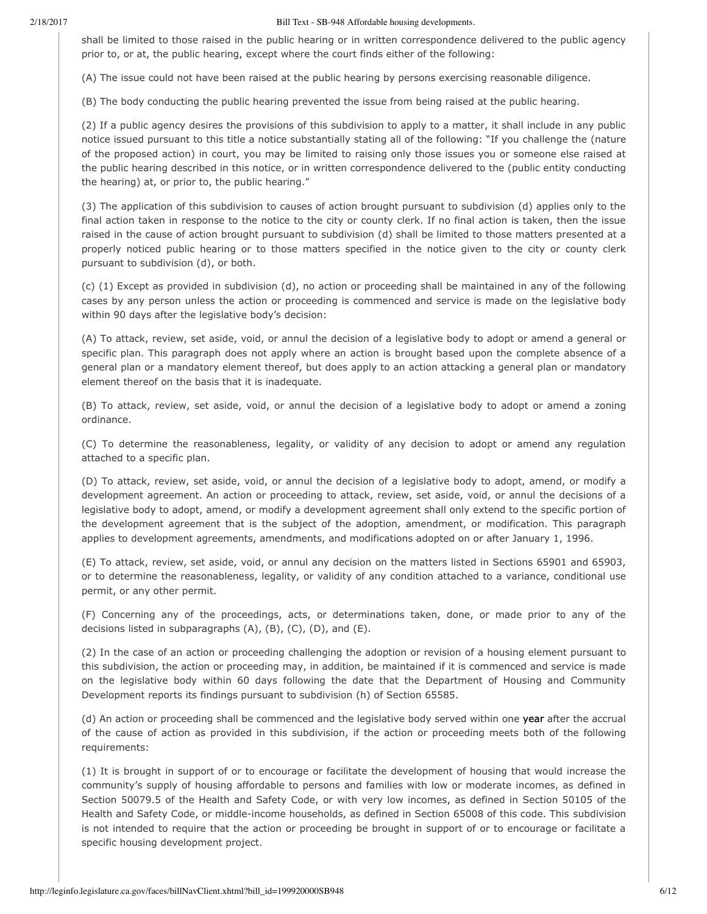shall be limited to those raised in the public hearing or in written correspondence delivered to the public agency prior to, or at, the public hearing, except where the court finds either of the following:

(A) The issue could not have been raised at the public hearing by persons exercising reasonable diligence.

(B) The body conducting the public hearing prevented the issue from being raised at the public hearing.

(2) If a public agency desires the provisions of this subdivision to apply to a matter, it shall include in any public notice issued pursuant to this title a notice substantially stating all of the following: "If you challenge the (nature of the proposed action) in court, you may be limited to raising only those issues you or someone else raised at the public hearing described in this notice, or in written correspondence delivered to the (public entity conducting the hearing) at, or prior to, the public hearing."

(3) The application of this subdivision to causes of action brought pursuant to subdivision (d) applies only to the final action taken in response to the notice to the city or county clerk. If no final action is taken, then the issue raised in the cause of action brought pursuant to subdivision (d) shall be limited to those matters presented at a properly noticed public hearing or to those matters specified in the notice given to the city or county clerk pursuant to subdivision (d), or both.

(c) (1) Except as provided in subdivision (d), no action or proceeding shall be maintained in any of the following cases by any person unless the action or proceeding is commenced and service is made on the legislative body within 90 days after the legislative body's decision:

(A) To attack, review, set aside, void, or annul the decision of a legislative body to adopt or amend a general or specific plan. This paragraph does not apply where an action is brought based upon the complete absence of a general plan or a mandatory element thereof, but does apply to an action attacking a general plan or mandatory element thereof on the basis that it is inadequate.

(B) To attack, review, set aside, void, or annul the decision of a legislative body to adopt or amend a zoning ordinance.

(C) To determine the reasonableness, legality, or validity of any decision to adopt or amend any regulation attached to a specific plan.

(D) To attack, review, set aside, void, or annul the decision of a legislative body to adopt, amend, or modify a development agreement. An action or proceeding to attack, review, set aside, void, or annul the decisions of a legislative body to adopt, amend, or modify a development agreement shall only extend to the specific portion of the development agreement that is the subject of the adoption, amendment, or modification. This paragraph applies to development agreements, amendments, and modifications adopted on or after January 1, 1996.

(E) To attack, review, set aside, void, or annul any decision on the matters listed in Sections 65901 and 65903, or to determine the reasonableness, legality, or validity of any condition attached to a variance, conditional use permit, or any other permit.

(F) Concerning any of the proceedings, acts, or determinations taken, done, or made prior to any of the decisions listed in subparagraphs (A), (B), (C), (D), and (E).

(2) In the case of an action or proceeding challenging the adoption or revision of a housing element pursuant to this subdivision, the action or proceeding may, in addition, be maintained if it is commenced and service is made on the legislative body within 60 days following the date that the Department of Housing and Community Development reports its findings pursuant to subdivision (h) of Section 65585.

(d) An action or proceeding shall be commenced and the legislative body served within one year after the accrual of the cause of action as provided in this subdivision, if the action or proceeding meets both of the following requirements:

(1) It is brought in support of or to encourage or facilitate the development of housing that would increase the community's supply of housing affordable to persons and families with low or moderate incomes, as defined in Section 50079.5 of the Health and Safety Code, or with very low incomes, as defined in Section 50105 of the Health and Safety Code, or middle-income households, as defined in Section 65008 of this code. This subdivision is not intended to require that the action or proceeding be brought in support of or to encourage or facilitate a specific housing development project.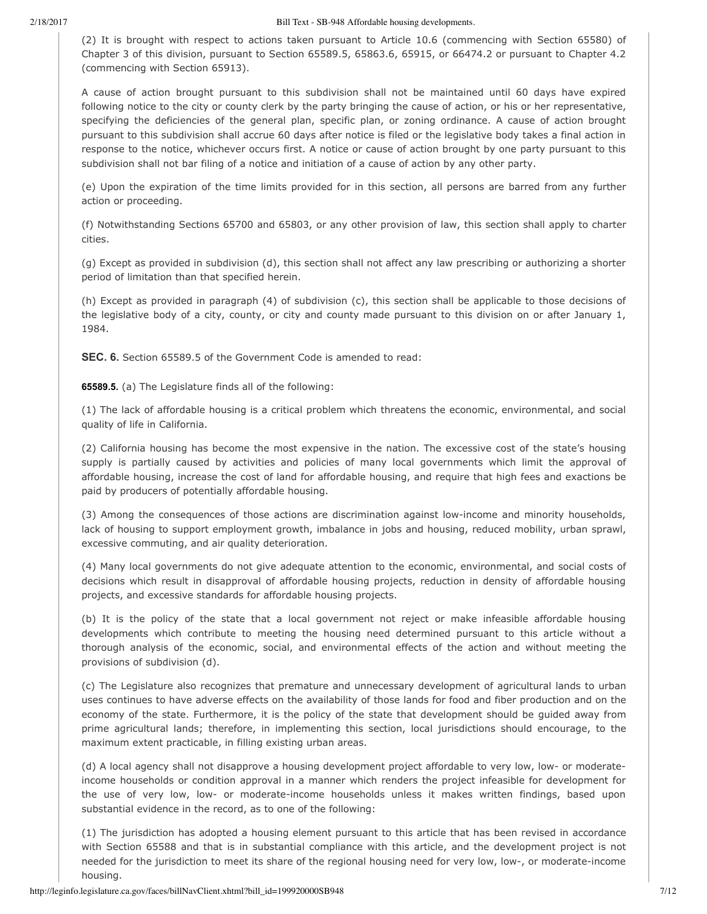(2) It is brought with respect to actions taken pursuant to Article 10.6 (commencing with Section 65580) of Chapter 3 of this division, pursuant to Section 65589.5, 65863.6, 65915, or 66474.2 or pursuant to Chapter 4.2 (commencing with Section 65913).

A cause of action brought pursuant to this subdivision shall not be maintained until 60 days have expired following notice to the city or county clerk by the party bringing the cause of action, or his or her representative, specifying the deficiencies of the general plan, specific plan, or zoning ordinance. A cause of action brought pursuant to this subdivision shall accrue 60 days after notice is filed or the legislative body takes a final action in response to the notice, whichever occurs first. A notice or cause of action brought by one party pursuant to this subdivision shall not bar filing of a notice and initiation of a cause of action by any other party.

(e) Upon the expiration of the time limits provided for in this section, all persons are barred from any further action or proceeding.

(f) Notwithstanding Sections 65700 and 65803, or any other provision of law, this section shall apply to charter cities.

(g) Except as provided in subdivision (d), this section shall not affect any law prescribing or authorizing a shorter period of limitation than that specified herein.

(h) Except as provided in paragraph (4) of subdivision (c), this section shall be applicable to those decisions of the legislative body of a city, county, or city and county made pursuant to this division on or after January 1, 1984.

**SEC. 6.** Section 65589.5 of the Government Code is amended to read:

**65589.5.** (a) The Legislature finds all of the following:

(1) The lack of affordable housing is a critical problem which threatens the economic, environmental, and social quality of life in California.

(2) California housing has become the most expensive in the nation. The excessive cost of the state's housing supply is partially caused by activities and policies of many local governments which limit the approval of affordable housing, increase the cost of land for affordable housing, and require that high fees and exactions be paid by producers of potentially affordable housing.

(3) Among the consequences of those actions are discrimination against low-income and minority households, lack of housing to support employment growth, imbalance in jobs and housing, reduced mobility, urban sprawl, excessive commuting, and air quality deterioration.

(4) Many local governments do not give adequate attention to the economic, environmental, and social costs of decisions which result in disapproval of affordable housing projects, reduction in density of affordable housing projects, and excessive standards for affordable housing projects.

(b) It is the policy of the state that a local government not reject or make infeasible affordable housing developments which contribute to meeting the housing need determined pursuant to this article without a thorough analysis of the economic, social, and environmental effects of the action and without meeting the provisions of subdivision (d).

(c) The Legislature also recognizes that premature and unnecessary development of agricultural lands to urban uses continues to have adverse effects on the availability of those lands for food and fiber production and on the economy of the state. Furthermore, it is the policy of the state that development should be guided away from prime agricultural lands; therefore, in implementing this section, local jurisdictions should encourage, to the maximum extent practicable, in filling existing urban areas.

(d) A local agency shall not disapprove a housing development project affordable to very low, low- or moderateincome households or condition approval in a manner which renders the project infeasible for development for the use of very low, low- or moderate-income households unless it makes written findings, based upon substantial evidence in the record, as to one of the following:

(1) The jurisdiction has adopted a housing element pursuant to this article that has been revised in accordance with Section 65588 and that is in substantial compliance with this article, and the development project is not needed for the jurisdiction to meet its share of the regional housing need for very low, low-, or moderate-income housing.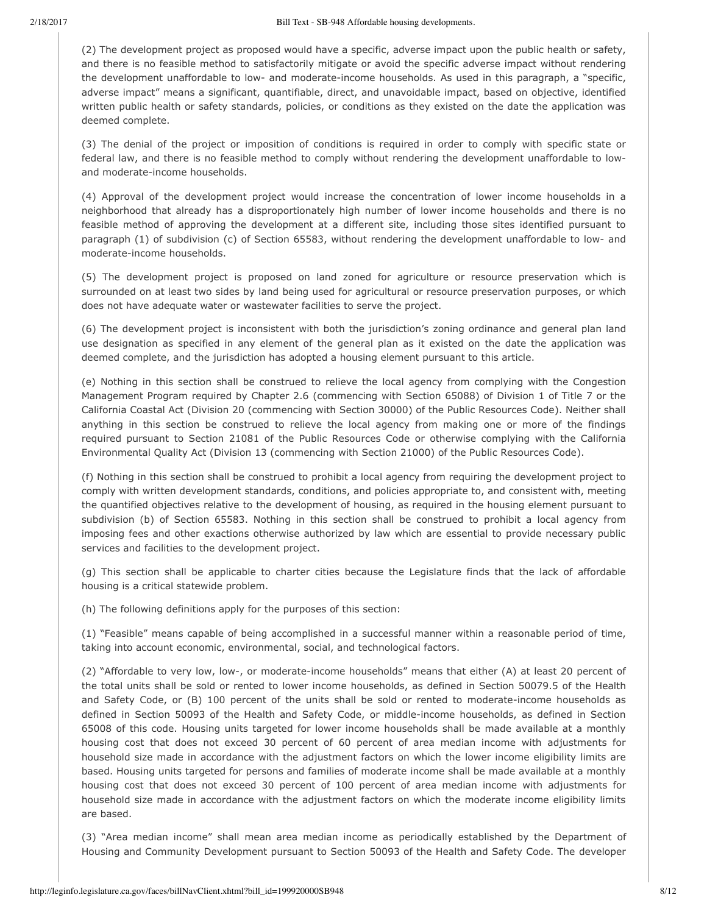(2) The development project as proposed would have a specific, adverse impact upon the public health or safety, and there is no feasible method to satisfactorily mitigate or avoid the specific adverse impact without rendering the development unaffordable to low- and moderate-income households. As used in this paragraph, a "specific, adverse impact" means a significant, quantifiable, direct, and unavoidable impact, based on objective, identified written public health or safety standards, policies, or conditions as they existed on the date the application was deemed complete.

(3) The denial of the project or imposition of conditions is required in order to comply with specific state or federal law, and there is no feasible method to comply without rendering the development unaffordable to lowand moderate-income households.

(4) Approval of the development project would increase the concentration of lower income households in a neighborhood that already has a disproportionately high number of lower income households and there is no feasible method of approving the development at a different site, including those sites identified pursuant to paragraph (1) of subdivision (c) of Section 65583, without rendering the development unaffordable to low- and moderate-income households.

(5) The development project is proposed on land zoned for agriculture or resource preservation which is surrounded on at least two sides by land being used for agricultural or resource preservation purposes, or which does not have adequate water or wastewater facilities to serve the project.

(6) The development project is inconsistent with both the jurisdiction's zoning ordinance and general plan land use designation as specified in any element of the general plan as it existed on the date the application was deemed complete, and the jurisdiction has adopted a housing element pursuant to this article.

(e) Nothing in this section shall be construed to relieve the local agency from complying with the Congestion Management Program required by Chapter 2.6 (commencing with Section 65088) of Division 1 of Title 7 or the California Coastal Act (Division 20 (commencing with Section 30000) of the Public Resources Code). Neither shall anything in this section be construed to relieve the local agency from making one or more of the findings required pursuant to Section 21081 of the Public Resources Code or otherwise complying with the California Environmental Quality Act (Division 13 (commencing with Section 21000) of the Public Resources Code).

(f) Nothing in this section shall be construed to prohibit a local agency from requiring the development project to comply with written development standards, conditions, and policies appropriate to, and consistent with, meeting the quantified objectives relative to the development of housing, as required in the housing element pursuant to subdivision (b) of Section 65583. Nothing in this section shall be construed to prohibit a local agency from imposing fees and other exactions otherwise authorized by law which are essential to provide necessary public services and facilities to the development project.

(g) This section shall be applicable to charter cities because the Legislature finds that the lack of affordable housing is a critical statewide problem.

(h) The following definitions apply for the purposes of this section:

(1) "Feasible" means capable of being accomplished in a successful manner within a reasonable period of time, taking into account economic, environmental, social, and technological factors.

(2) "Affordable to very low, low-, or moderate-income households" means that either (A) at least 20 percent of the total units shall be sold or rented to lower income households, as defined in Section 50079.5 of the Health and Safety Code, or (B) 100 percent of the units shall be sold or rented to moderate-income households as defined in Section 50093 of the Health and Safety Code, or middle-income households, as defined in Section 65008 of this code. Housing units targeted for lower income households shall be made available at a monthly housing cost that does not exceed 30 percent of 60 percent of area median income with adjustments for household size made in accordance with the adjustment factors on which the lower income eligibility limits are based. Housing units targeted for persons and families of moderate income shall be made available at a monthly housing cost that does not exceed 30 percent of 100 percent of area median income with adjustments for household size made in accordance with the adjustment factors on which the moderate income eligibility limits are based.

(3) "Area median income" shall mean area median income as periodically established by the Department of Housing and Community Development pursuant to Section 50093 of the Health and Safety Code. The developer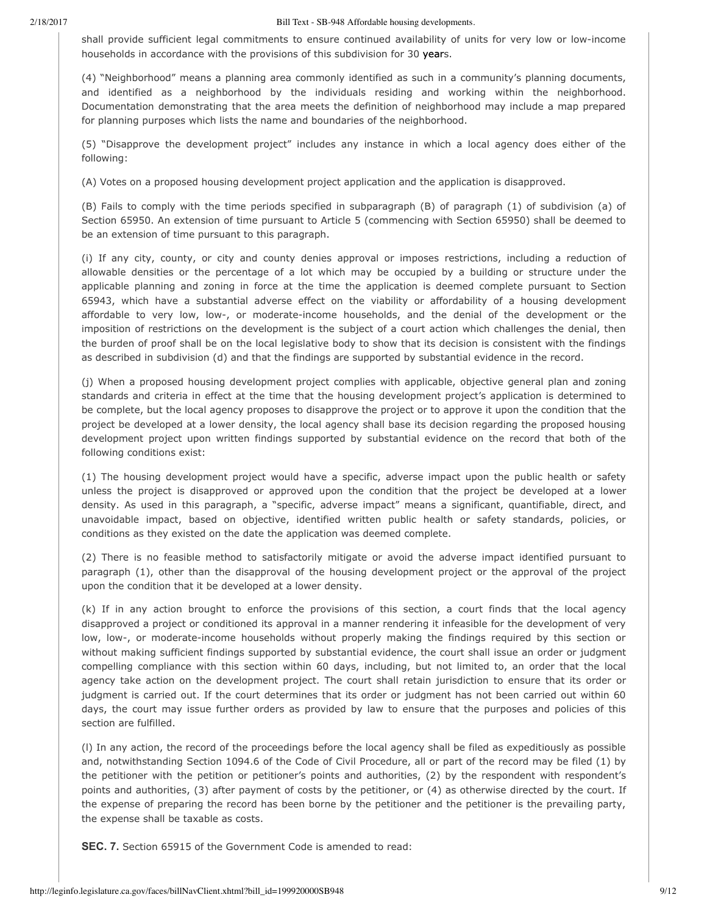shall provide sufficient legal commitments to ensure continued availability of units for very low or low-income households in accordance with the provisions of this subdivision for 30 years.

(4) "Neighborhood" means a planning area commonly identified as such in a community's planning documents, and identified as a neighborhood by the individuals residing and working within the neighborhood. Documentation demonstrating that the area meets the definition of neighborhood may include a map prepared for planning purposes which lists the name and boundaries of the neighborhood.

(5) "Disapprove the development project" includes any instance in which a local agency does either of the following:

(A) Votes on a proposed housing development project application and the application is disapproved.

(B) Fails to comply with the time periods specified in subparagraph (B) of paragraph (1) of subdivision (a) of Section 65950. An extension of time pursuant to Article 5 (commencing with Section 65950) shall be deemed to be an extension of time pursuant to this paragraph.

(i) If any city, county, or city and county denies approval or imposes restrictions, including a reduction of allowable densities or the percentage of a lot which may be occupied by a building or structure under the applicable planning and zoning in force at the time the application is deemed complete pursuant to Section 65943, which have a substantial adverse effect on the viability or affordability of a housing development affordable to very low, low-, or moderate-income households, and the denial of the development or the imposition of restrictions on the development is the subject of a court action which challenges the denial, then the burden of proof shall be on the local legislative body to show that its decision is consistent with the findings as described in subdivision (d) and that the findings are supported by substantial evidence in the record.

(j) When a proposed housing development project complies with applicable, objective general plan and zoning standards and criteria in effect at the time that the housing development project's application is determined to be complete, but the local agency proposes to disapprove the project or to approve it upon the condition that the project be developed at a lower density, the local agency shall base its decision regarding the proposed housing development project upon written findings supported by substantial evidence on the record that both of the following conditions exist:

(1) The housing development project would have a specific, adverse impact upon the public health or safety unless the project is disapproved or approved upon the condition that the project be developed at a lower density. As used in this paragraph, a "specific, adverse impact" means a significant, quantifiable, direct, and unavoidable impact, based on objective, identified written public health or safety standards, policies, or conditions as they existed on the date the application was deemed complete.

(2) There is no feasible method to satisfactorily mitigate or avoid the adverse impact identified pursuant to paragraph (1), other than the disapproval of the housing development project or the approval of the project upon the condition that it be developed at a lower density.

(k) If in any action brought to enforce the provisions of this section, a court finds that the local agency disapproved a project or conditioned its approval in a manner rendering it infeasible for the development of very low, low-, or moderate-income households without properly making the findings required by this section or without making sufficient findings supported by substantial evidence, the court shall issue an order or judgment compelling compliance with this section within 60 days, including, but not limited to, an order that the local agency take action on the development project. The court shall retain jurisdiction to ensure that its order or judgment is carried out. If the court determines that its order or judgment has not been carried out within 60 days, the court may issue further orders as provided by law to ensure that the purposes and policies of this section are fulfilled.

(l) In any action, the record of the proceedings before the local agency shall be filed as expeditiously as possible and, notwithstanding Section 1094.6 of the Code of Civil Procedure, all or part of the record may be filed (1) by the petitioner with the petition or petitioner's points and authorities, (2) by the respondent with respondent's points and authorities, (3) after payment of costs by the petitioner, or (4) as otherwise directed by the court. If the expense of preparing the record has been borne by the petitioner and the petitioner is the prevailing party, the expense shall be taxable as costs.

**SEC. 7.** Section 65915 of the Government Code is amended to read: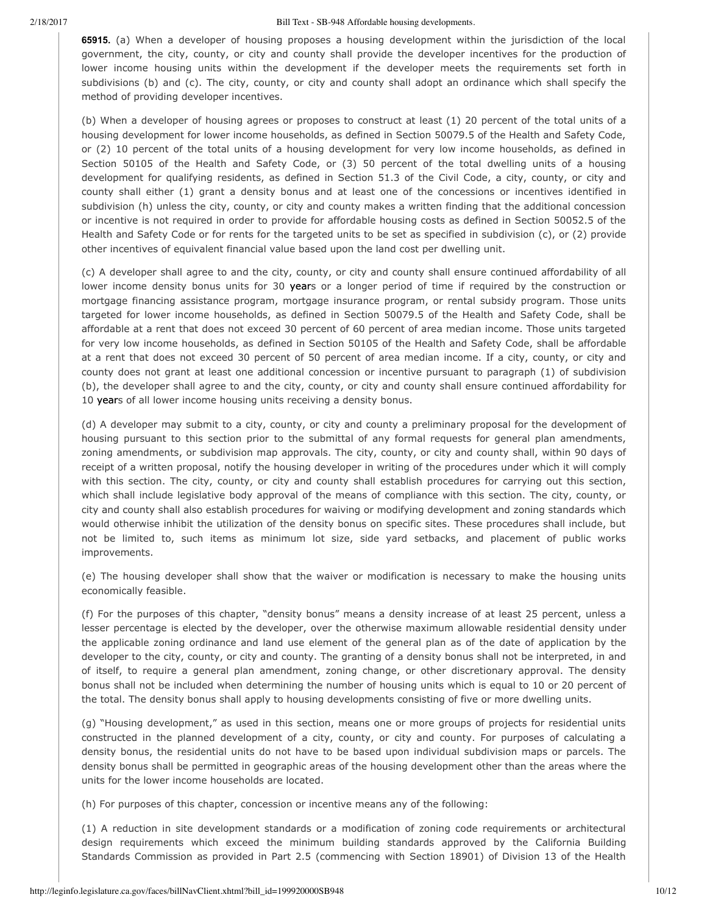**65915.** (a) When a developer of housing proposes a housing development within the jurisdiction of the local government, the city, county, or city and county shall provide the developer incentives for the production of lower income housing units within the development if the developer meets the requirements set forth in subdivisions (b) and (c). The city, county, or city and county shall adopt an ordinance which shall specify the method of providing developer incentives.

(b) When a developer of housing agrees or proposes to construct at least (1) 20 percent of the total units of a housing development for lower income households, as defined in Section 50079.5 of the Health and Safety Code, or (2) 10 percent of the total units of a housing development for very low income households, as defined in Section 50105 of the Health and Safety Code, or (3) 50 percent of the total dwelling units of a housing development for qualifying residents, as defined in Section 51.3 of the Civil Code, a city, county, or city and county shall either (1) grant a density bonus and at least one of the concessions or incentives identified in subdivision (h) unless the city, county, or city and county makes a written finding that the additional concession or incentive is not required in order to provide for affordable housing costs as defined in Section 50052.5 of the Health and Safety Code or for rents for the targeted units to be set as specified in subdivision (c), or (2) provide other incentives of equivalent financial value based upon the land cost per dwelling unit.

(c) A developer shall agree to and the city, county, or city and county shall ensure continued affordability of all lower income density bonus units for 30 years or a longer period of time if required by the construction or mortgage financing assistance program, mortgage insurance program, or rental subsidy program. Those units targeted for lower income households, as defined in Section 50079.5 of the Health and Safety Code, shall be affordable at a rent that does not exceed 30 percent of 60 percent of area median income. Those units targeted for very low income households, as defined in Section 50105 of the Health and Safety Code, shall be affordable at a rent that does not exceed 30 percent of 50 percent of area median income. If a city, county, or city and county does not grant at least one additional concession or incentive pursuant to paragraph (1) of subdivision (b), the developer shall agree to and the city, county, or city and county shall ensure continued affordability for 10 years of all lower income housing units receiving a density bonus.

(d) A developer may submit to a city, county, or city and county a preliminary proposal for the development of housing pursuant to this section prior to the submittal of any formal requests for general plan amendments, zoning amendments, or subdivision map approvals. The city, county, or city and county shall, within 90 days of receipt of a written proposal, notify the housing developer in writing of the procedures under which it will comply with this section. The city, county, or city and county shall establish procedures for carrying out this section, which shall include legislative body approval of the means of compliance with this section. The city, county, or city and county shall also establish procedures for waiving or modifying development and zoning standards which would otherwise inhibit the utilization of the density bonus on specific sites. These procedures shall include, but not be limited to, such items as minimum lot size, side yard setbacks, and placement of public works improvements.

(e) The housing developer shall show that the waiver or modification is necessary to make the housing units economically feasible.

(f) For the purposes of this chapter, "density bonus" means a density increase of at least 25 percent, unless a lesser percentage is elected by the developer, over the otherwise maximum allowable residential density under the applicable zoning ordinance and land use element of the general plan as of the date of application by the developer to the city, county, or city and county. The granting of a density bonus shall not be interpreted, in and of itself, to require a general plan amendment, zoning change, or other discretionary approval. The density bonus shall not be included when determining the number of housing units which is equal to 10 or 20 percent of the total. The density bonus shall apply to housing developments consisting of five or more dwelling units.

(g) "Housing development," as used in this section, means one or more groups of projects for residential units constructed in the planned development of a city, county, or city and county. For purposes of calculating a density bonus, the residential units do not have to be based upon individual subdivision maps or parcels. The density bonus shall be permitted in geographic areas of the housing development other than the areas where the units for the lower income households are located.

(h) For purposes of this chapter, concession or incentive means any of the following:

(1) A reduction in site development standards or a modification of zoning code requirements or architectural design requirements which exceed the minimum building standards approved by the California Building Standards Commission as provided in Part 2.5 (commencing with Section 18901) of Division 13 of the Health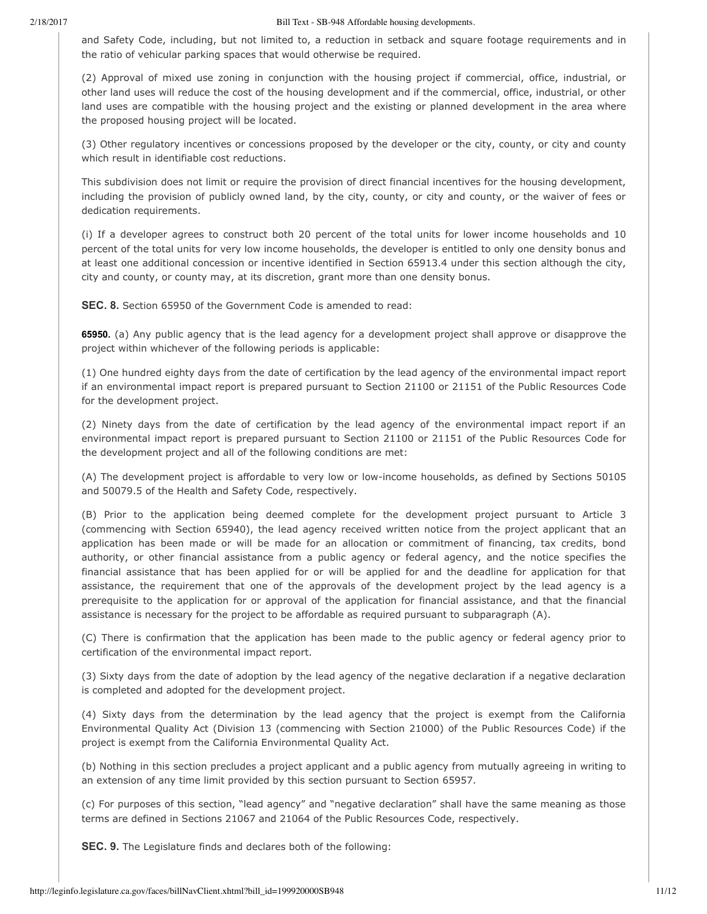and Safety Code, including, but not limited to, a reduction in setback and square footage requirements and in the ratio of vehicular parking spaces that would otherwise be required.

(2) Approval of mixed use zoning in conjunction with the housing project if commercial, office, industrial, or other land uses will reduce the cost of the housing development and if the commercial, office, industrial, or other land uses are compatible with the housing project and the existing or planned development in the area where the proposed housing project will be located.

(3) Other regulatory incentives or concessions proposed by the developer or the city, county, or city and county which result in identifiable cost reductions.

This subdivision does not limit or require the provision of direct financial incentives for the housing development, including the provision of publicly owned land, by the city, county, or city and county, or the waiver of fees or dedication requirements.

(i) If a developer agrees to construct both 20 percent of the total units for lower income households and 10 percent of the total units for very low income households, the developer is entitled to only one density bonus and at least one additional concession or incentive identified in Section 65913.4 under this section although the city, city and county, or county may, at its discretion, grant more than one density bonus.

**SEC. 8.** Section 65950 of the Government Code is amended to read:

**65950.** (a) Any public agency that is the lead agency for a development project shall approve or disapprove the project within whichever of the following periods is applicable:

(1) One hundred eighty days from the date of certification by the lead agency of the environmental impact report if an environmental impact report is prepared pursuant to Section 21100 or 21151 of the Public Resources Code for the development project.

(2) Ninety days from the date of certification by the lead agency of the environmental impact report if an environmental impact report is prepared pursuant to Section 21100 or 21151 of the Public Resources Code for the development project and all of the following conditions are met:

(A) The development project is affordable to very low or low-income households, as defined by Sections 50105 and 50079.5 of the Health and Safety Code, respectively.

(B) Prior to the application being deemed complete for the development project pursuant to Article 3 (commencing with Section 65940), the lead agency received written notice from the project applicant that an application has been made or will be made for an allocation or commitment of financing, tax credits, bond authority, or other financial assistance from a public agency or federal agency, and the notice specifies the financial assistance that has been applied for or will be applied for and the deadline for application for that assistance, the requirement that one of the approvals of the development project by the lead agency is a prerequisite to the application for or approval of the application for financial assistance, and that the financial assistance is necessary for the project to be affordable as required pursuant to subparagraph (A).

(C) There is confirmation that the application has been made to the public agency or federal agency prior to certification of the environmental impact report.

(3) Sixty days from the date of adoption by the lead agency of the negative declaration if a negative declaration is completed and adopted for the development project.

(4) Sixty days from the determination by the lead agency that the project is exempt from the California Environmental Quality Act (Division 13 (commencing with Section 21000) of the Public Resources Code) if the project is exempt from the California Environmental Quality Act.

(b) Nothing in this section precludes a project applicant and a public agency from mutually agreeing in writing to an extension of any time limit provided by this section pursuant to Section 65957.

(c) For purposes of this section, "lead agency" and "negative declaration" shall have the same meaning as those terms are defined in Sections 21067 and 21064 of the Public Resources Code, respectively.

**SEC. 9.** The Legislature finds and declares both of the following: